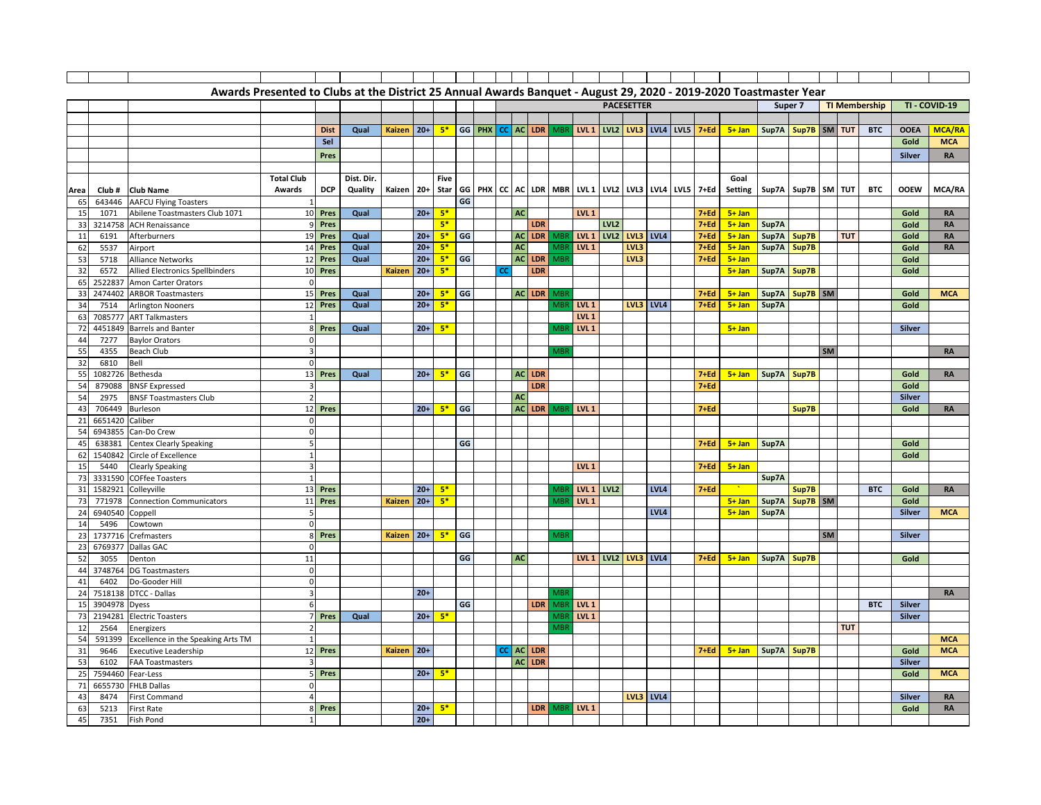| Awards Presented to Clubs at the District 25 Annual Awards Banquet - August 29, 2020 - 2019-2020 Toastmaster Year |                 |                                    |                         |             |            |               |       |             |    |  |    |           |            |                      |                                                                           |                  |                            |                                          |          |           |                    |                          |           |                      |               |               |               |
|-------------------------------------------------------------------------------------------------------------------|-----------------|------------------------------------|-------------------------|-------------|------------|---------------|-------|-------------|----|--|----|-----------|------------|----------------------|---------------------------------------------------------------------------|------------------|----------------------------|------------------------------------------|----------|-----------|--------------------|--------------------------|-----------|----------------------|---------------|---------------|---------------|
|                                                                                                                   |                 |                                    |                         |             |            |               |       |             |    |  |    |           |            |                      |                                                                           |                  | <b>PACESETTER</b>          |                                          |          |           | Super <sub>7</sub> |                          |           | <b>TI Membership</b> | TI - COVID-19 |               |               |
|                                                                                                                   |                 |                                    |                         |             |            |               |       |             |    |  |    |           |            |                      |                                                                           |                  |                            |                                          |          |           |                    |                          |           |                      |               |               |               |
|                                                                                                                   |                 |                                    |                         | <b>Dist</b> | Qual       | <b>Kaizen</b> | $20+$ | $5*$        |    |  |    |           |            | GG PHX CC AC LDR MBR |                                                                           |                  |                            | LVL 1   LVL2   LVL3   LVL4   LVL5   7+Ed |          | $5 + Jan$ |                    | Sup7A Sup7B              |           | SM TUT               | <b>BTC</b>    | <b>OOEA</b>   | <b>MCA/RA</b> |
|                                                                                                                   |                 |                                    |                         | Sel         |            |               |       |             |    |  |    |           |            |                      |                                                                           |                  |                            |                                          |          |           |                    |                          |           |                      |               | Gold          | <b>MCA</b>    |
|                                                                                                                   |                 |                                    |                         |             |            |               |       |             |    |  |    |           |            |                      |                                                                           |                  |                            |                                          |          |           |                    |                          |           |                      |               |               |               |
|                                                                                                                   |                 |                                    |                         | Pres        |            |               |       |             |    |  |    |           |            |                      |                                                                           |                  |                            |                                          |          |           |                    |                          |           |                      |               | <b>Silver</b> | <b>RA</b>     |
|                                                                                                                   |                 |                                    |                         |             |            |               |       |             |    |  |    |           |            |                      |                                                                           |                  |                            |                                          |          |           |                    |                          |           |                      |               |               |               |
|                                                                                                                   |                 |                                    | <b>Total Club</b>       |             | Dist. Dir. |               |       | <b>Five</b> |    |  |    |           |            |                      |                                                                           |                  |                            |                                          |          | Goal      |                    |                          |           |                      |               |               |               |
| Area                                                                                                              | Club #          | <b>Club Name</b>                   | Awards                  | <b>DCP</b>  | Quality    | Kaizen 20+    |       | Star        |    |  |    |           |            |                      | GG   PHX   CC   AC   LDR   MBR   LVL 1   LVL2   LVL3   LVL4   LVL5   7+Ed |                  |                            |                                          |          | Setting   |                    | Sup7A   Sup7B   SM   TUT |           |                      | <b>BTC</b>    | <b>OOEW</b>   | MCA/RA        |
| 65                                                                                                                | 643446          | <b>AAFCU Flying Toasters</b>       |                         |             |            |               |       |             | GG |  |    |           |            |                      |                                                                           |                  |                            |                                          |          |           |                    |                          |           |                      |               |               |               |
| 15                                                                                                                | 1071            | Abilene Toastmasters Club 1071     | 10                      | Pres        | Qual       |               | $20+$ | $5*$        |    |  |    | <b>AC</b> |            |                      | LVL <sub>1</sub>                                                          |                  |                            |                                          | $7 + Ed$ | $5 + Jan$ |                    |                          |           |                      |               | Gold          | <b>RA</b>     |
| 33                                                                                                                |                 | 3214758 ACH Renaissance            | $\mathbf{q}$            | Pres        |            |               |       | $5*$        |    |  |    |           | <b>LDR</b> |                      |                                                                           | <b>LVL2</b>      |                            |                                          | $7 + Ed$ | $5 + Jan$ | Sup7A              |                          |           |                      |               | Gold          | <b>RA</b>     |
| 11                                                                                                                | 6191            | Afterburners                       | 19                      | Pres        | Qual       |               | $20+$ | $5*$        | GG |  |    | AC        |            | LDR MBF              | $LVL1$ LVL2                                                               |                  | LVL3 LVL4                  |                                          | $7 + Ed$ | $5+$ Jan  | Sup7A              | Sup7B                    |           | <b>TUT</b>           |               | Gold          | <b>RA</b>     |
| 62                                                                                                                | 5537            | Airport                            | 14                      | Pres        | Qual       |               | $20+$ | $5*$        |    |  |    | AC        |            | MBF                  | LVL <sub>1</sub>                                                          |                  | LVL3                       |                                          | $7 + Ed$ | $5+$ Jan  | Sup7A              | Sup7B                    |           |                      |               | Gold          | <b>RA</b>     |
| 53                                                                                                                | 5718            | <b>Alliance Networks</b>           | 12                      | Pres        | Qual       |               | $20+$ | $5*$        | GG |  |    | $AC$      | <b>LDR</b> | <b>MBF</b>           |                                                                           |                  | LVL3                       |                                          | $7+Ed$   | $5 + Jan$ |                    |                          |           |                      |               | Gold          |               |
| 32                                                                                                                | 6572            | Allied Electronics Spellbinders    | 10                      | Pres        |            | <b>Kaizen</b> | $20+$ | $5*$        |    |  | cc |           | LDR        |                      |                                                                           |                  |                            |                                          |          | $5+$ Jan  | Sup7A              | Sup7B                    |           |                      |               | Gold          |               |
| 65                                                                                                                | 2522837         | Amon Carter Orators                | $\mathbf 0$             |             |            |               |       |             |    |  |    |           |            |                      |                                                                           |                  |                            |                                          |          |           |                    |                          |           |                      |               |               |               |
| 33                                                                                                                | 2474402         | <b>ARBOR Toastmasters</b>          | 15                      | Pres        | Qual       |               | $20+$ | $5*$        | GG |  |    |           | AC LDR     | <b>MBF</b>           |                                                                           |                  |                            |                                          | $7 + Ed$ | $5 + Jan$ | Sup7A              | Sup7B                    | <b>SM</b> |                      |               | Gold          | <b>MCA</b>    |
| 34                                                                                                                | 7514            | <b>Arlington Nooners</b>           | 12                      | Pres        | Qual       |               | $20+$ | $5*$        |    |  |    |           |            | MBF                  | LVL <sub>1</sub>                                                          |                  |                            | <b>LVL3</b> LVL4                         | $7 + Ed$ | $5 + Jan$ | Sup7A              |                          |           |                      |               | Gold          |               |
| 63                                                                                                                |                 | 7085777 ART Talkmasters            | $\mathbf{1}$            |             |            |               |       |             |    |  |    |           |            |                      | LVL <sub>1</sub>                                                          |                  |                            |                                          |          |           |                    |                          |           |                      |               |               |               |
| 72                                                                                                                |                 | 4451849 Barrels and Banter         | 8                       | Pres        | Qual       |               | $20+$ | $5*$        |    |  |    |           |            | MBF                  | LVL <sub>1</sub>                                                          |                  |                            |                                          |          | $5 + Jan$ |                    |                          |           |                      |               | <b>Silver</b> |               |
| 44                                                                                                                | 7277            | <b>Baylor Orators</b>              | $\Omega$                |             |            |               |       |             |    |  |    |           |            |                      |                                                                           |                  |                            |                                          |          |           |                    |                          |           |                      |               |               |               |
| 55                                                                                                                | 4355            | Beach Club                         | 3                       |             |            |               |       |             |    |  |    |           |            |                      |                                                                           |                  |                            |                                          |          |           |                    |                          | <b>SM</b> |                      |               |               | <b>RA</b>     |
| 32                                                                                                                | 6810            | Bell                               | $\mathbf 0$             |             |            |               |       |             |    |  |    |           |            |                      |                                                                           |                  |                            |                                          |          |           |                    |                          |           |                      |               |               |               |
| 55                                                                                                                |                 | 1082726 Bethesda                   | 13                      | Pres        | Qual       |               | $20+$ | $5*$        | GG |  |    |           | AC LDR     |                      |                                                                           |                  |                            |                                          | $7+Ed$   | $5+$ Jan  | Sup7A              | Sup7B                    |           |                      |               | Gold          | <b>RA</b>     |
| 54                                                                                                                | 879088          | <b>BNSF Expressed</b>              | $\overline{\mathbf{3}}$ |             |            |               |       |             |    |  |    |           | <b>LDR</b> |                      |                                                                           |                  |                            |                                          | $7 + Ed$ |           |                    |                          |           |                      |               | Gold          |               |
| 54                                                                                                                | 2975            | <b>BNSF Toastmasters Club</b>      | $\overline{2}$          |             |            |               |       |             |    |  |    | AC        |            |                      |                                                                           |                  |                            |                                          |          |           |                    |                          |           |                      |               | <b>Silver</b> |               |
| 43                                                                                                                | 706449          | Burleson                           |                         | 12 Pres     |            |               | $20+$ | $5*$        | GG |  |    | AC        |            | LDR MBR              | LVL <sub>1</sub>                                                          |                  |                            |                                          | $7 + Ed$ |           |                    | Sup7B                    |           |                      |               | Gold          | <b>RA</b>     |
| 21                                                                                                                | 6651420 Caliber |                                    | $\Omega$                |             |            |               |       |             |    |  |    |           |            |                      |                                                                           |                  |                            |                                          |          |           |                    |                          |           |                      |               |               |               |
| 54                                                                                                                | 6943855         | Can-Do Crew                        | $\mathbf 0$             |             |            |               |       |             |    |  |    |           |            |                      |                                                                           |                  |                            |                                          |          |           |                    |                          |           |                      |               |               |               |
| 45                                                                                                                | 638381          | <b>Centex Clearly Speaking</b>     | 5                       |             |            |               |       |             | GG |  |    |           |            |                      |                                                                           |                  |                            |                                          | 7+Ed     | $5 + Jan$ | Sup7A              |                          |           |                      |               | Gold          |               |
| 62                                                                                                                | 1540842         | Circle of Excellence               | $\mathbf{1}$            |             |            |               |       |             |    |  |    |           |            |                      |                                                                           |                  |                            |                                          |          |           |                    |                          |           |                      |               | Gold          |               |
| 15                                                                                                                | 5440            | <b>Clearly Speaking</b>            | $\overline{\mathbf{3}}$ |             |            |               |       |             |    |  |    |           |            |                      | LVL <sub>1</sub>                                                          |                  |                            |                                          | $7 + Ed$ | $5 + Jan$ |                    |                          |           |                      |               |               |               |
| 73                                                                                                                |                 | 3331590 COFfee Toasters            | $\mathbf{1}$            |             |            |               |       |             |    |  |    |           |            |                      |                                                                           |                  |                            |                                          |          |           | Sup7A              |                          |           |                      |               |               |               |
| 31                                                                                                                | 1582921         | Colleyville                        | 13                      | Pres        |            |               | $20+$ | 5*          |    |  |    |           |            | MBI                  | LVL <sub>1</sub>                                                          | LVL <sub>2</sub> |                            | LVL4                                     | $7 + Ed$ |           |                    | Sup7B                    |           |                      | <b>BTC</b>    | Gold          | <b>RA</b>     |
| 73                                                                                                                | 771978          | <b>Connection Communicators</b>    | 11                      | Pres        |            | <b>Kaizen</b> | $20+$ | $5*$        |    |  |    |           |            | <b>MBF</b>           | LVL <sub>1</sub>                                                          |                  |                            |                                          |          | $5+$ Jan  | Sup7A              | Sup7B SM                 |           |                      |               | Gold          |               |
| 24                                                                                                                | 6940540 Coppell |                                    | 5                       |             |            |               |       |             |    |  |    |           |            |                      |                                                                           |                  |                            | LVL4                                     |          | $5 + Jan$ | Sup7A              |                          |           |                      |               | Silver        | <b>MCA</b>    |
| 14                                                                                                                | 5496            | Cowtown                            | $\mathbf{0}$            |             |            |               |       |             |    |  |    |           |            |                      |                                                                           |                  |                            |                                          |          |           |                    |                          |           |                      |               |               |               |
| 23                                                                                                                |                 | 1737716 Crefmasters                |                         | 8 Pres      |            | <b>Kaizen</b> | $20+$ | $5*$        | GG |  |    |           |            | <b>MBI</b>           |                                                                           |                  |                            |                                          |          |           |                    |                          | <b>SM</b> |                      |               | <b>Silver</b> |               |
| 23                                                                                                                |                 | 6769377 Dallas GAC                 | $\mathbf 0$             |             |            |               |       |             |    |  |    |           |            |                      |                                                                           |                  |                            |                                          |          |           |                    |                          |           |                      |               |               |               |
| 52                                                                                                                | 3055            | Denton                             | 11                      |             |            |               |       |             | GG |  |    | AC        |            |                      |                                                                           |                  | LVL 1   LVL2   LVL3   LVL4 |                                          | $7+Ed$   | $5+$ Jan  | Sup7A Sup7B        |                          |           |                      |               | Gold          |               |
| 44                                                                                                                |                 | 3748764 DG Toastmasters            | $\mathbf 0$             |             |            |               |       |             |    |  |    |           |            |                      |                                                                           |                  |                            |                                          |          |           |                    |                          |           |                      |               |               |               |
| 41                                                                                                                | 6402            | Do-Gooder Hill                     | $\mathbf{0}$            |             |            |               |       |             |    |  |    |           |            |                      |                                                                           |                  |                            |                                          |          |           |                    |                          |           |                      |               |               |               |
| 24                                                                                                                |                 | 7518138 DTCC - Dallas              | $\overline{\mathbf{3}}$ |             |            |               | $20+$ |             |    |  |    |           |            | MBI                  |                                                                           |                  |                            |                                          |          |           |                    |                          |           |                      |               |               | <b>RA</b>     |
| 15                                                                                                                | 3904978 Dyess   |                                    | 6                       |             |            |               |       |             | GG |  |    |           | LDR        | MBF                  | LVL <sub>1</sub>                                                          |                  |                            |                                          |          |           |                    |                          |           |                      | <b>BTC</b>    | Silver        |               |
| 73                                                                                                                | 2194281         | <b>Electric Toasters</b>           |                         | Pres        | Qual       |               | $20+$ | $5*$        |    |  |    |           |            | MBI                  | LVL <sub>1</sub>                                                          |                  |                            |                                          |          |           |                    |                          |           |                      |               | <b>Silver</b> |               |
| 12                                                                                                                | 2564            | Energizers                         | $\overline{2}$          |             |            |               |       |             |    |  |    |           |            | MBI                  |                                                                           |                  |                            |                                          |          |           |                    |                          |           | <b>TUT</b>           |               |               |               |
| 54                                                                                                                | 591399          | Excellence in the Speaking Arts TM | $\overline{1}$          |             |            |               |       |             |    |  |    |           |            |                      |                                                                           |                  |                            |                                          |          |           |                    |                          |           |                      |               |               | <b>MCA</b>    |
| 31                                                                                                                | 9646            | <b>Executive Leadership</b>        | 12                      | Pres        |            | <b>Kaizen</b> | $20+$ |             |    |  |    |           | CC AC LDR  |                      |                                                                           |                  |                            |                                          | $7 + Ed$ | $5 + Jan$ | Sup7A              | Sup7B                    |           |                      |               | Gold          | <b>MCA</b>    |
| 53                                                                                                                | 6102            | <b>FAA Toastmasters</b>            | $\overline{3}$          |             |            |               |       |             |    |  |    |           | AC LDR     |                      |                                                                           |                  |                            |                                          |          |           |                    |                          |           |                      |               | <b>Silver</b> |               |
| 25                                                                                                                |                 | 7594460 Fear-Less                  | 5 <sub>l</sub>          | Pres        |            |               | $20+$ | $5*$        |    |  |    |           |            |                      |                                                                           |                  |                            |                                          |          |           |                    |                          |           |                      |               | Gold          | <b>MCA</b>    |
| 71                                                                                                                | 6655730         | <b>FHLB Dallas</b>                 | $\mathbf 0$             |             |            |               |       |             |    |  |    |           |            |                      |                                                                           |                  |                            |                                          |          |           |                    |                          |           |                      |               |               |               |
| 43                                                                                                                | 8474            | <b>First Command</b>               | $\overline{4}$          |             |            |               |       |             |    |  |    |           |            |                      |                                                                           |                  |                            | <b>LVL3</b> LVL4                         |          |           |                    |                          |           |                      |               | <b>Silver</b> | <b>RA</b>     |
| 63                                                                                                                | 5213            | <b>First Rate</b>                  |                         | 8 Pres      |            |               | $20+$ | 5*          |    |  |    |           |            | LDR MBR              | LVL <sub>1</sub>                                                          |                  |                            |                                          |          |           |                    |                          |           |                      |               | Gold          | RA            |
| 45                                                                                                                | 7351            | Fish Pond                          | $\mathbf{1}$            |             |            |               | $20+$ |             |    |  |    |           |            |                      |                                                                           |                  |                            |                                          |          |           |                    |                          |           |                      |               |               |               |
|                                                                                                                   |                 |                                    |                         |             |            |               |       |             |    |  |    |           |            |                      |                                                                           |                  |                            |                                          |          |           |                    |                          |           |                      |               |               |               |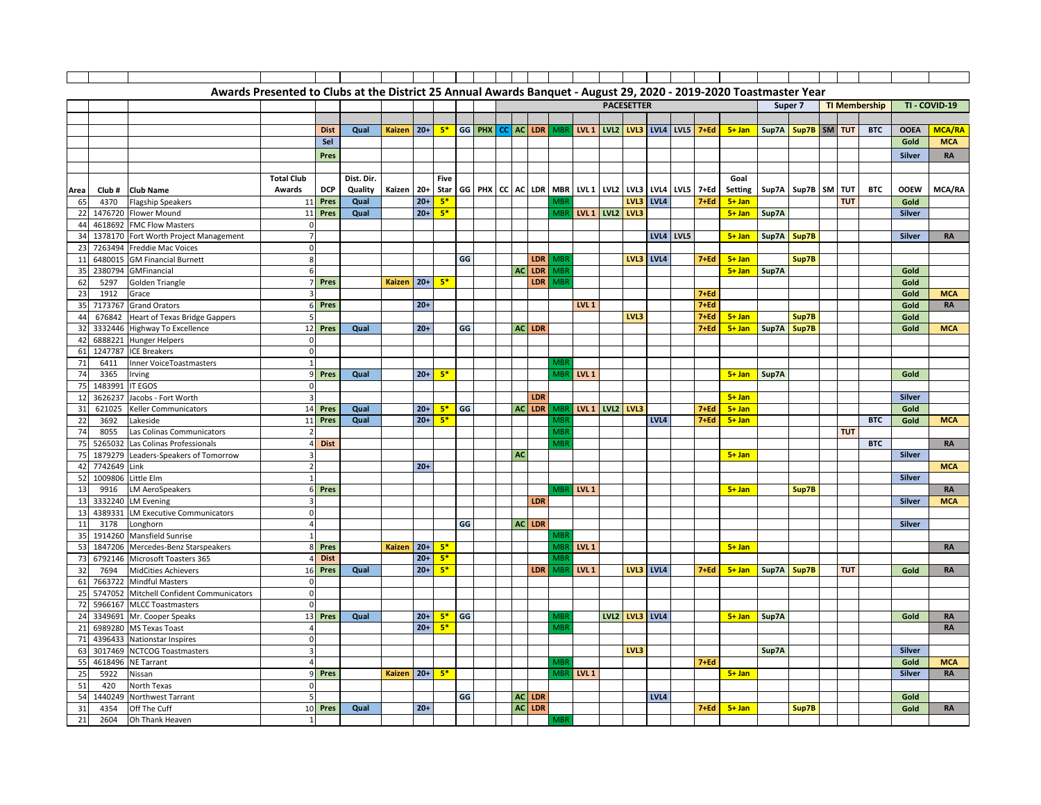| Awards Presented to Clubs at the District 25 Annual Awards Banquet - August 29, 2020 - 2019-2020 Toastmaster Year |                 |                                       |                          |             |            |               |       |      |    |                              |  |           |            |            |                                                                                  |                   |                                |                  |          |           |       |                  |               |                      |               |            |  |
|-------------------------------------------------------------------------------------------------------------------|-----------------|---------------------------------------|--------------------------|-------------|------------|---------------|-------|------|----|------------------------------|--|-----------|------------|------------|----------------------------------------------------------------------------------|-------------------|--------------------------------|------------------|----------|-----------|-------|------------------|---------------|----------------------|---------------|------------|--|
|                                                                                                                   |                 |                                       |                          |             |            |               |       |      |    |                              |  |           |            |            |                                                                                  | <b>PACESETTER</b> |                                |                  |          |           |       | Super 7          |               | <b>TI Membership</b> | TI - COVID-19 |            |  |
|                                                                                                                   |                 |                                       |                          |             |            |               |       |      |    |                              |  |           |            |            |                                                                                  |                   |                                |                  |          |           |       |                  |               |                      |               |            |  |
|                                                                                                                   |                 |                                       |                          | <b>Dist</b> |            | <b>Kaizen</b> |       |      |    |                              |  |           |            |            |                                                                                  |                   |                                |                  |          |           |       |                  |               |                      |               |            |  |
|                                                                                                                   |                 |                                       |                          |             | Qual       |               | $20+$ | $5*$ |    | GG   PHX CC   AC   LDR   MBR |  |           |            |            |                                                                                  |                   | LVL 1 LVL2 LVL3 LVL4 LVL5 7+Ed |                  |          | $5 + Jan$ | Sup7A | Sup7B            | <b>SM</b> TUT | <b>BTC</b>           | <b>OOEA</b>   | MCA/RA     |  |
|                                                                                                                   |                 |                                       |                          | Sel         |            |               |       |      |    |                              |  |           |            |            |                                                                                  |                   |                                |                  |          |           |       |                  |               |                      | Gold          | <b>MCA</b> |  |
|                                                                                                                   |                 |                                       |                          | Pres        |            |               |       |      |    |                              |  |           |            |            |                                                                                  |                   |                                |                  |          |           |       |                  |               |                      | <b>Silver</b> | <b>RA</b>  |  |
|                                                                                                                   |                 |                                       |                          |             |            |               |       |      |    |                              |  |           |            |            |                                                                                  |                   |                                |                  |          |           |       |                  |               |                      |               |            |  |
|                                                                                                                   |                 |                                       | <b>Total Club</b>        |             | Dist. Dir. |               |       | Five |    |                              |  |           |            |            |                                                                                  |                   |                                |                  |          | Goal      |       |                  |               |                      |               |            |  |
| Area                                                                                                              |                 | Club # Club Name                      | Awards                   | <b>DCP</b>  | Quality    | Kaizen 20+    |       |      |    |                              |  |           |            |            | Star   GG   PHX   CC   AC   LDR   MBR   LVL 1   LVL2   LVL3   LVL4   LVL5   7+Ed |                   |                                |                  |          | Setting   | Sup7A | Sup7B   SM   TUT |               | BTC                  | <b>OOEW</b>   | MCA/RA     |  |
| 65                                                                                                                | 4370            | <b>Flagship Speakers</b>              | 11                       | Pres        | Qual       |               | $20+$ | $5*$ |    |                              |  |           |            |            |                                                                                  |                   | LVL3 LVL4                      |                  | $7 + Ed$ | $5+$ Jan  |       |                  | <b>TUT</b>    |                      | Gold          |            |  |
| 22                                                                                                                |                 | 1476720 Flower Mound                  | 11                       | Pres        | Qual       |               | $20+$ | $5*$ |    |                              |  |           |            | <b>MBR</b> | LVL 1 LVL2 LVL3                                                                  |                   |                                |                  |          | $5+$ Jan  | Sup7A |                  |               |                      | <b>Silver</b> |            |  |
| 44                                                                                                                |                 | 4618692 FMC Flow Masters              | $\mathbf{0}$             |             |            |               |       |      |    |                              |  |           |            |            |                                                                                  |                   |                                |                  |          |           |       |                  |               |                      |               |            |  |
| 34                                                                                                                |                 | 1378170 Fort Worth Project Management | $\overline{7}$           |             |            |               |       |      |    |                              |  |           |            |            |                                                                                  |                   |                                | <b>LVL4 LVL5</b> |          | $5+$ Jan  | Sup7A | Sup7B            |               |                      | <b>Silver</b> | <b>RA</b>  |  |
| 23                                                                                                                |                 | 7263494 Freddie Mac Voices            | $\mathbf 0$              |             |            |               |       |      |    |                              |  |           |            |            |                                                                                  |                   |                                |                  |          |           |       |                  |               |                      |               |            |  |
| 11                                                                                                                |                 | 6480015 GM Financial Burnett          | 8                        |             |            |               |       |      | GG |                              |  |           | LDR        | <b>MBI</b> |                                                                                  |                   | LVL3 LVL4                      |                  | $7 + Ed$ | $5 + Jan$ |       | Sup7B            |               |                      |               |            |  |
| 35                                                                                                                |                 | 2380794 GMFinancial                   | $6 \overline{6}$         |             |            |               |       |      |    |                              |  | <b>AC</b> | <b>LDR</b> | <b>MBF</b> |                                                                                  |                   |                                |                  |          | $5+$ Jan  | Sup7A |                  |               |                      | Gold          |            |  |
| 62                                                                                                                | 5297            | Golden Triangle                       |                          | 7 Pres      |            | Kaizen   20+  |       | $5*$ |    |                              |  |           | <b>LDR</b> | <b>MBI</b> |                                                                                  |                   |                                |                  |          |           |       |                  |               |                      | Gold          |            |  |
| 23                                                                                                                | 1912            | Grace                                 | $\overline{3}$           |             |            |               |       |      |    |                              |  |           |            |            |                                                                                  |                   |                                |                  | $7 + Ed$ |           |       |                  |               |                      | Gold          | <b>MCA</b> |  |
| 35                                                                                                                |                 | 7173767 Grand Orators                 |                          | 6 Pres      |            |               | $20+$ |      |    |                              |  |           |            |            | LVL <sub>1</sub>                                                                 |                   |                                |                  | $7 + Ed$ |           |       |                  |               |                      | Gold          | <b>RA</b>  |  |
| 44                                                                                                                |                 | 676842 Heart of Texas Bridge Gappers  | 5                        |             |            |               |       |      |    |                              |  |           |            |            |                                                                                  | LVL3              |                                |                  | $7 + Ed$ | $5+$ Jan  |       | Sup7B            |               |                      | Gold          |            |  |
| 32                                                                                                                |                 | 3332446 Highway To Excellence         | 12                       | Pres        | Qual       |               | $20+$ |      | GG |                              |  |           | AC LDR     |            |                                                                                  |                   |                                |                  | $7 + Ed$ | $5+$ Jan  | Sup7A | Sup7B            |               |                      | Gold          | <b>MCA</b> |  |
| 42                                                                                                                |                 | 6888221 Hunger Helpers                | $\mathbf 0$              |             |            |               |       |      |    |                              |  |           |            |            |                                                                                  |                   |                                |                  |          |           |       |                  |               |                      |               |            |  |
| 61                                                                                                                |                 | 1247787 ICE Breakers                  | $\mathbf{0}$             |             |            |               |       |      |    |                              |  |           |            |            |                                                                                  |                   |                                |                  |          |           |       |                  |               |                      |               |            |  |
| 71                                                                                                                | 6411            | Inner VoiceToastmasters               | $\mathbf{1}$             |             |            |               |       |      |    |                              |  |           |            | <b>MB</b>  |                                                                                  |                   |                                |                  |          |           |       |                  |               |                      |               |            |  |
| 74                                                                                                                | 3365            | Irving                                | q                        | Pres        | Qual       |               | $20+$ | $5*$ |    |                              |  |           |            | <b>MBR</b> | LVL <sub>1</sub>                                                                 |                   |                                |                  |          | $5 + Jan$ | Sup7A |                  |               |                      | Gold          |            |  |
| 75                                                                                                                | 1483991 IT EGOS |                                       | $\Omega$                 |             |            |               |       |      |    |                              |  |           |            |            |                                                                                  |                   |                                |                  |          |           |       |                  |               |                      |               |            |  |
| 12                                                                                                                | 3626237         | Jacobs - Fort Worth                   | $\overline{3}$           |             |            |               |       |      |    |                              |  |           | LDR        |            |                                                                                  |                   |                                |                  |          | $5+$ Jan  |       |                  |               |                      | <b>Silver</b> |            |  |
| 31                                                                                                                | 621025          | Keller Communicators                  | 14                       | <b>Pres</b> | Qual       |               | $20+$ | $5*$ | GG |                              |  |           | AC LDR     | MBF        | LVL 1 LVL2 LVL3                                                                  |                   |                                |                  | 7+Ed     | $5 + Jan$ |       |                  |               |                      | Gold          |            |  |
| 22                                                                                                                | 3692            | Lakeside                              |                          | 11 Pres     | Qual       |               | $20+$ | $5*$ |    |                              |  |           |            | <b>MB</b>  |                                                                                  |                   | LVL4                           |                  | $7 + Ed$ | $5 + Jan$ |       |                  |               | <b>BTC</b>           | Gold          | <b>MCA</b> |  |
| 74                                                                                                                | 8055            | Las Colinas Communicators             | $\overline{\phantom{a}}$ |             |            |               |       |      |    |                              |  |           |            | <b>MB</b>  |                                                                                  |                   |                                |                  |          |           |       |                  | <b>TUT</b>    |                      |               |            |  |
| 75                                                                                                                |                 | 5265032 Las Colinas Professionals     | 4                        | <b>Dist</b> |            |               |       |      |    |                              |  |           |            | <b>MBF</b> |                                                                                  |                   |                                |                  |          |           |       |                  |               | <b>BTC</b>           |               | <b>RA</b>  |  |
| 75                                                                                                                |                 | 1879279 Leaders-Speakers of Tomorrow  | 3                        |             |            |               |       |      |    |                              |  | AC        |            |            |                                                                                  |                   |                                |                  |          | $5 + Jan$ |       |                  |               |                      | <b>Silver</b> |            |  |
| 42                                                                                                                | 7742649 Link    |                                       | $\overline{2}$           |             |            |               | $20+$ |      |    |                              |  |           |            |            |                                                                                  |                   |                                |                  |          |           |       |                  |               |                      |               | <b>MCA</b> |  |
| 52                                                                                                                |                 | 1009806 Little Elm                    | $\mathbf{1}$             |             |            |               |       |      |    |                              |  |           |            |            |                                                                                  |                   |                                |                  |          |           |       |                  |               |                      | <b>Silver</b> |            |  |
| 13                                                                                                                | 9916            | <b>LM AeroSpeakers</b>                |                          | 6 Pres      |            |               |       |      |    |                              |  |           |            | <b>MBR</b> | $ $ IVL <sub>1</sub>                                                             |                   |                                |                  |          | $5+$ Jan  |       | Sup7B            |               |                      |               | <b>RA</b>  |  |
| 13                                                                                                                |                 | 3332240 LM Evening                    | $\overline{3}$           |             |            |               |       |      |    |                              |  |           | LDR        |            |                                                                                  |                   |                                |                  |          |           |       |                  |               |                      | <b>Silver</b> | <b>MCA</b> |  |
| 13                                                                                                                |                 | 4389331 LM Executive Communicators    | $\mathbf{0}$             |             |            |               |       |      |    |                              |  |           |            |            |                                                                                  |                   |                                |                  |          |           |       |                  |               |                      |               |            |  |
| 11                                                                                                                | 3178            | Longhorn                              | $\overline{4}$           |             |            |               |       |      | GG |                              |  |           | AC LDR     |            |                                                                                  |                   |                                |                  |          |           |       |                  |               |                      | <b>Silver</b> |            |  |
| 35                                                                                                                |                 | 1914260 Mansfield Sunrise             | $\mathbf{1}$             |             |            |               |       |      |    |                              |  |           |            |            |                                                                                  |                   |                                |                  |          |           |       |                  |               |                      |               |            |  |
| 53                                                                                                                |                 | 1847206 Mercedes-Benz Starspeakers    |                          | 8 Pres      |            | <b>Kaizen</b> | $20+$ | $5*$ |    |                              |  |           |            | <b>MB</b>  | LVL <sub>1</sub>                                                                 |                   |                                |                  |          | $5+$ Jan  |       |                  |               |                      |               | <b>RA</b>  |  |
| 73                                                                                                                |                 | 6792146 Microsoft Toasters 365        | $\Delta$                 | <b>Dist</b> |            |               | $20+$ | $5*$ |    |                              |  |           |            | <b>MBI</b> |                                                                                  |                   |                                |                  |          |           |       |                  |               |                      |               |            |  |
| 32                                                                                                                | 7694            | <b>MidCities Achievers</b>            | 16                       | Pres        | Qual       |               | $20+$ | $5*$ |    |                              |  |           | LDR        | <b>MBF</b> | <b>LVL 1</b>                                                                     |                   | <b>LVL3</b> LVL4               |                  | 7+Ed     | $5 + Jan$ | Sup7A | Sup7B            | <b>TUT</b>    |                      | Gold          | <b>RA</b>  |  |
| 61                                                                                                                |                 | 7663722 Mindful Masters               | $\mathbf 0$              |             |            |               |       |      |    |                              |  |           |            |            |                                                                                  |                   |                                |                  |          |           |       |                  |               |                      |               |            |  |
| 25                                                                                                                | 5747052         | Mitchell Confident Communicators      | $\mathbf 0$              |             |            |               |       |      |    |                              |  |           |            |            |                                                                                  |                   |                                |                  |          |           |       |                  |               |                      |               |            |  |
| 72                                                                                                                |                 | 5966167 MLCC Toastmasters             | $\mathbf{0}$             |             |            |               |       |      |    |                              |  |           |            |            |                                                                                  |                   |                                |                  |          |           |       |                  |               |                      |               |            |  |
| 24                                                                                                                |                 | 3349691 Mr. Cooper Speaks             |                          | 13 Pres     | Qual       |               | $20+$ | $5*$ | GG |                              |  |           |            | <b>MBI</b> |                                                                                  | LVL2 LVL3 LVL4    |                                |                  |          | $5+$ Jan  | Sup7A |                  |               |                      | Gold          | <b>RA</b>  |  |
| 21                                                                                                                |                 | 6989280 MS Texas Toast                | $\overline{4}$           |             |            |               | $20+$ | $5*$ |    |                              |  |           |            | <b>MBI</b> |                                                                                  |                   |                                |                  |          |           |       |                  |               |                      |               | <b>RA</b>  |  |
| 71                                                                                                                |                 | 4396433 Nationstar Inspires           | $\mathbf{0}$             |             |            |               |       |      |    |                              |  |           |            |            |                                                                                  |                   |                                |                  |          |           |       |                  |               |                      |               |            |  |
| 63                                                                                                                |                 | 3017469 NCTCOG Toastmasters           | $\overline{3}$           |             |            |               |       |      |    |                              |  |           |            |            |                                                                                  | LVL3              |                                |                  |          |           | Sup7A |                  |               |                      | <b>Silver</b> |            |  |
| 55                                                                                                                |                 | 4618496 NE Tarrant                    | $\overline{4}$           |             |            |               |       |      |    |                              |  |           |            | <b>MB</b>  |                                                                                  |                   |                                |                  | $7 + Ed$ |           |       |                  |               |                      | Gold          | <b>MCA</b> |  |
| 25                                                                                                                | 5922            | Nissan                                |                          | 9 Pres      |            | Kaizen 20+    |       | $5*$ |    |                              |  |           |            | <b>MBF</b> | LVL <sub>1</sub>                                                                 |                   |                                |                  |          | $5+$ Jan  |       |                  |               |                      | <b>Silver</b> | <b>RA</b>  |  |
| 51                                                                                                                | 420             | North Texas                           | $\mathbf 0$              |             |            |               |       |      |    |                              |  |           |            |            |                                                                                  |                   |                                |                  |          |           |       |                  |               |                      |               |            |  |
| 54                                                                                                                |                 | 1440249 Northwest Tarrant             | 5                        |             |            |               |       |      | GG |                              |  |           | AC LDR     |            |                                                                                  |                   | LVL4                           |                  |          |           |       |                  |               |                      | Gold          |            |  |
| 31                                                                                                                | 4354            | Off The Cuff                          |                          | 10 Pres     | Qual       |               | $20+$ |      |    |                              |  |           | AC LDR     |            |                                                                                  |                   |                                |                  | $7 + Ed$ | $5 + Jan$ |       | Sup7B            |               |                      | Gold          | ${\sf RA}$ |  |
| 21                                                                                                                |                 |                                       | $\mathbf{1}$             |             |            |               |       |      |    |                              |  |           |            |            |                                                                                  |                   |                                |                  |          |           |       |                  |               |                      |               |            |  |
|                                                                                                                   | 2604            | Oh Thank Heaven                       |                          |             |            |               |       |      |    |                              |  |           |            |            |                                                                                  |                   |                                |                  |          |           |       |                  |               |                      |               |            |  |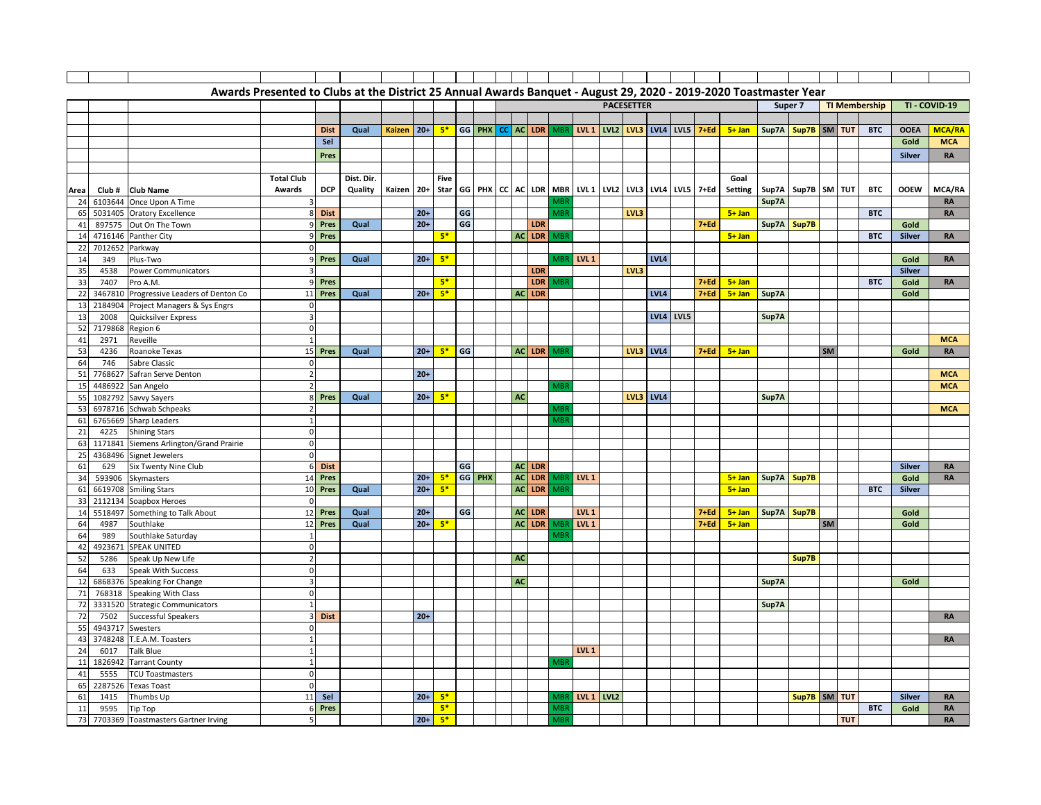| Awards Presented to Clubs at the District 25 Annual Awards Banquet - August 29, 2020 - 2019-2020 Toastmaster Year |                  |                                          |                   |             |            |               |       |             |    |        |  |           |            |                      |                                               |  |                   |             |                  |          |           |             |              |    |               |                      |               |               |  |
|-------------------------------------------------------------------------------------------------------------------|------------------|------------------------------------------|-------------------|-------------|------------|---------------|-------|-------------|----|--------|--|-----------|------------|----------------------|-----------------------------------------------|--|-------------------|-------------|------------------|----------|-----------|-------------|--------------|----|---------------|----------------------|---------------|---------------|--|
|                                                                                                                   |                  |                                          |                   |             |            |               |       |             |    |        |  |           |            |                      |                                               |  | <b>PACESETTER</b> |             |                  |          |           |             | Super 7      |    |               | <b>TI Membership</b> | TI - COVID-19 |               |  |
|                                                                                                                   |                  |                                          |                   |             |            |               |       |             |    |        |  |           |            |                      |                                               |  |                   |             |                  |          |           |             |              |    |               |                      |               |               |  |
|                                                                                                                   |                  |                                          |                   | <b>Dist</b> | Qual       | <b>Kaizen</b> | $20+$ | $-5*$       |    |        |  |           |            | GG PHX CC AC LDR MBR | LVL 1 LVL2 LVL3 LVL4 LVL5 7+Ed                |  |                   |             |                  |          | $5 + Jan$ | Sup7A       | Sup7B SM TUT |    |               | <b>BTC</b>           | <b>OOEA</b>   | <b>MCA/RA</b> |  |
|                                                                                                                   |                  |                                          |                   |             |            |               |       |             |    |        |  |           |            |                      |                                               |  |                   |             |                  |          |           |             |              |    |               |                      |               |               |  |
|                                                                                                                   |                  |                                          |                   | Sel         |            |               |       |             |    |        |  |           |            |                      |                                               |  |                   |             |                  |          |           |             |              |    |               |                      | Gold          | <b>MCA</b>    |  |
|                                                                                                                   |                  |                                          |                   | Pres        |            |               |       |             |    |        |  |           |            |                      |                                               |  |                   |             |                  |          |           |             |              |    |               |                      | Silver        | <b>RA</b>     |  |
|                                                                                                                   |                  |                                          |                   |             |            |               |       |             |    |        |  |           |            |                      |                                               |  |                   |             |                  |          |           |             |              |    |               |                      |               |               |  |
|                                                                                                                   |                  |                                          | <b>Total Club</b> |             | Dist. Dir. |               |       | <b>Five</b> |    |        |  |           |            |                      |                                               |  |                   |             |                  |          | Goal      |             |              |    |               |                      |               |               |  |
| Area                                                                                                              |                  | Club # Club Name                         | Awards            | <b>DCP</b>  | Quality    | Kaizen        | $20+$ | Star        |    |        |  |           |            |                      | GG   PHX   CC   AC   LDR   MBR   LVL 1   LVL2 |  | LVL3              |             | LVL4 LVL5 7+Ed   |          | Setting   | Sup7A       | Sup7B SM     |    | <b>TUT</b>    | <b>BTC</b>           | <b>OOEW</b>   | MCA/RA        |  |
| 24                                                                                                                |                  | 6103644 Once Upon A Time                 |                   |             |            |               |       |             |    |        |  |           |            | MВ                   |                                               |  |                   |             |                  |          |           | Sup7A       |              |    |               |                      |               | <b>RA</b>     |  |
| 65                                                                                                                |                  | 5031405 Oratory Excellence               | 8                 | <b>Dist</b> |            |               | $20+$ |             | GG |        |  |           |            | MBF                  |                                               |  | LVL3              |             |                  |          | $5 + Jan$ |             |              |    |               | <b>BTC</b>           |               | <b>RA</b>     |  |
| 41                                                                                                                |                  | 897575 Out On The Town                   | 9                 | Pres        | Qual       |               | $20+$ |             | GG |        |  |           | <b>LDR</b> |                      |                                               |  |                   |             |                  | $7 + Ed$ |           | Sup7A Sup7B |              |    |               |                      | Gold          |               |  |
| 14                                                                                                                |                  | 4716146 Panther City                     | 9                 | Pres        |            |               |       | $5*$        |    |        |  | <b>AC</b> | <b>LDR</b> | <b>MBF</b>           |                                               |  |                   |             |                  |          | $5 + Jan$ |             |              |    |               | <b>BTC</b>           | <b>Silver</b> | <b>RA</b>     |  |
| 22                                                                                                                | 7012652 Parkway  |                                          | $\mathbf 0$       |             |            |               |       |             |    |        |  |           |            |                      |                                               |  |                   |             |                  |          |           |             |              |    |               |                      |               |               |  |
| 14                                                                                                                | 349              | Plus-Two                                 | q                 | Pres        | Qual       |               | $20+$ | $5*$        |    |        |  |           |            | <b>MBR</b>           | LVL <sub>1</sub>                              |  |                   | LVL4        |                  |          |           |             |              |    |               |                      | Gold          | <b>RA</b>     |  |
| 35                                                                                                                | 4538             | Power Communicators                      | 3                 |             |            |               |       |             |    |        |  |           | LDR        |                      |                                               |  | LVL3              |             |                  |          |           |             |              |    |               |                      | <b>Silver</b> |               |  |
| 33                                                                                                                | 7407             | Pro A.M.                                 | 9                 | Pres        |            |               |       | $5*$        |    |        |  |           | <b>LDR</b> | <b>MBF</b>           |                                               |  |                   |             |                  | $7 + Ed$ | $5 + Jan$ |             |              |    |               | <b>BTC</b>           | Gold          | <b>RA</b>     |  |
| 22                                                                                                                |                  | 3467810 Progressive Leaders of Denton Co | $11\,$            | Pres        | Qual       |               | $20+$ | $5*$        |    |        |  | <b>AC</b> | LDR        |                      |                                               |  |                   | LVL4        |                  | $7+Ed$   | $5 + Jan$ | Sup7A       |              |    |               |                      | Gold          |               |  |
| 13                                                                                                                |                  | 2184904 Project Managers & Sys Engrs     | $\mathbf 0$       |             |            |               |       |             |    |        |  |           |            |                      |                                               |  |                   |             |                  |          |           |             |              |    |               |                      |               |               |  |
| 13                                                                                                                | 2008             | Quicksilver Express                      | 3                 |             |            |               |       |             |    |        |  |           |            |                      |                                               |  |                   |             | <b>LVL4 LVL5</b> |          |           | Sup7A       |              |    |               |                      |               |               |  |
| 52                                                                                                                | 7179868 Region 6 |                                          | $\mathbf 0$       |             |            |               |       |             |    |        |  |           |            |                      |                                               |  |                   |             |                  |          |           |             |              |    |               |                      |               |               |  |
| 41                                                                                                                | 2971             | Reveille                                 | 1                 |             |            |               |       |             |    |        |  |           |            |                      |                                               |  |                   |             |                  |          |           |             |              |    |               |                      |               | <b>MCA</b>    |  |
| 53                                                                                                                | 4236             | Roanoke Texas                            |                   | 15 Pres     | Qual       |               | $20+$ | $5*$        | GG |        |  |           | AC LDR MBF |                      |                                               |  |                   | $LVL3$ LVL4 |                  | $7+Ed$   | $5 + Jan$ |             |              | SM |               |                      | Gold          | <b>RA</b>     |  |
| 64                                                                                                                | 746              | Sabre Classic                            | $\mathbf 0$       |             |            |               |       |             |    |        |  |           |            |                      |                                               |  |                   |             |                  |          |           |             |              |    |               |                      |               |               |  |
| 51                                                                                                                |                  | 7768627 Safran Serve Denton              | $\overline{2}$    |             |            |               | $20+$ |             |    |        |  |           |            |                      |                                               |  |                   |             |                  |          |           |             |              |    |               |                      |               | <b>MCA</b>    |  |
| 15                                                                                                                |                  | 4486922 San Angelo                       | $\overline{2}$    |             |            |               |       |             |    |        |  |           |            | MBF                  |                                               |  |                   |             |                  |          |           |             |              |    |               |                      |               | <b>MCA</b>    |  |
| 55                                                                                                                | 1082792          | Savvy Sayers                             | $8\phantom{1}$    | Pres        | Qual       |               | $20+$ | $5*$        |    |        |  | AC        |            |                      |                                               |  |                   | LVL3 LVL4   |                  |          |           | Sup7A       |              |    |               |                      |               |               |  |
| 53                                                                                                                |                  | 6978716 Schwab Schpeaks                  | $\overline{2}$    |             |            |               |       |             |    |        |  |           |            | MBI                  |                                               |  |                   |             |                  |          |           |             |              |    |               |                      |               | <b>MCA</b>    |  |
| 61                                                                                                                |                  | 6765669 Sharp Leaders                    |                   |             |            |               |       |             |    |        |  |           |            | MBI                  |                                               |  |                   |             |                  |          |           |             |              |    |               |                      |               |               |  |
| 21                                                                                                                | 4225             | <b>Shining Stars</b>                     | $\mathbf 0$       |             |            |               |       |             |    |        |  |           |            |                      |                                               |  |                   |             |                  |          |           |             |              |    |               |                      |               |               |  |
| 63                                                                                                                |                  | 1171841 Siemens Arlington/Grand Prairie  | $\mathbf{0}$      |             |            |               |       |             |    |        |  |           |            |                      |                                               |  |                   |             |                  |          |           |             |              |    |               |                      |               |               |  |
| 25                                                                                                                |                  | 4368496 Signet Jewelers                  | $\mathbf 0$       |             |            |               |       |             |    |        |  |           |            |                      |                                               |  |                   |             |                  |          |           |             |              |    |               |                      |               |               |  |
| 61                                                                                                                | 629              | Six Twenty Nine Club                     |                   | 6 Dist      |            |               |       |             | GG |        |  |           | AC LDR     |                      |                                               |  |                   |             |                  |          |           |             |              |    |               |                      | <b>Silver</b> | <b>RA</b>     |  |
| 34                                                                                                                |                  | 593906 Skymasters                        |                   | 14 Pres     |            |               | $20+$ | $5*$        |    | GG PHX |  | AC        | LDR        | <b>MBR</b>           | LVL <sub>1</sub>                              |  |                   |             |                  |          | $5+$ Jan  | Sup7A Sup7B |              |    |               |                      | Gold          | <b>RA</b>     |  |
| 61                                                                                                                |                  | 6619708 Smiling Stars                    | 10                | Pres        | Qual       |               | $20+$ | $5*$        |    |        |  | AC        | <b>LDR</b> | <b>MBF</b>           |                                               |  |                   |             |                  |          | $5 + Jan$ |             |              |    |               | <b>BTC</b>           | Silver        |               |  |
| 33                                                                                                                |                  | 2112134 Soapbox Heroes                   | $\mathbf 0$       |             |            |               |       |             |    |        |  |           |            |                      |                                               |  |                   |             |                  |          |           |             |              |    |               |                      |               |               |  |
| 14                                                                                                                |                  | 5518497 Something to Talk About          | 12                | Pres        | Qual       |               | $20+$ |             | GG |        |  | <b>AC</b> | LDR        |                      | LVL <sub>1</sub>                              |  |                   |             |                  | $7 + Ed$ | $5 + Jan$ | Sup7A Sup7B |              |    |               |                      | Gold          |               |  |
| 64                                                                                                                | 4987             | Southlake                                | 12                | Pres        | Qual       |               | $20+$ | $5*$        |    |        |  | <b>AC</b> | LDR MBF    |                      | LVL <sub>1</sub>                              |  |                   |             |                  | $7 + Ed$ | $5 + Jan$ |             |              | SM |               |                      | Gold          |               |  |
| 64                                                                                                                | 989              | Southlake Saturday                       | $\mathbf{1}$      |             |            |               |       |             |    |        |  |           |            | MBF                  |                                               |  |                   |             |                  |          |           |             |              |    |               |                      |               |               |  |
| 42                                                                                                                | 4923671          | <b>SPEAK UNITED</b>                      | 0                 |             |            |               |       |             |    |        |  |           |            |                      |                                               |  |                   |             |                  |          |           |             |              |    |               |                      |               |               |  |
| 52                                                                                                                | 5286             | Speak Up New Life                        | $\overline{2}$    |             |            |               |       |             |    |        |  | AC        |            |                      |                                               |  |                   |             |                  |          |           |             | Sup7B        |    |               |                      |               |               |  |
| 64                                                                                                                | 633              | Speak With Success                       | $\mathbf{0}$      |             |            |               |       |             |    |        |  |           |            |                      |                                               |  |                   |             |                  |          |           |             |              |    |               |                      |               |               |  |
| 12                                                                                                                |                  | 6868376 Speaking For Change              | $\overline{3}$    |             |            |               |       |             |    |        |  | <b>AC</b> |            |                      |                                               |  |                   |             |                  |          |           | Sup7A       |              |    |               |                      | Gold          |               |  |
| 71                                                                                                                |                  | 768318 Speaking With Class               | $\mathbf 0$       |             |            |               |       |             |    |        |  |           |            |                      |                                               |  |                   |             |                  |          |           |             |              |    |               |                      |               |               |  |
| 72                                                                                                                |                  | 3331520 Strategic Communicators          | $\mathbf{1}$      |             |            |               |       |             |    |        |  |           |            |                      |                                               |  |                   |             |                  |          |           | Sup7A       |              |    |               |                      |               |               |  |
| 72                                                                                                                | 7502             | Successful Speakers                      | 3                 | <b>Dist</b> |            |               | $20+$ |             |    |        |  |           |            |                      |                                               |  |                   |             |                  |          |           |             |              |    |               |                      |               | RA            |  |
| 55                                                                                                                |                  | 4943717 Swesters                         | $\mathbf 0$       |             |            |               |       |             |    |        |  |           |            |                      |                                               |  |                   |             |                  |          |           |             |              |    |               |                      |               |               |  |
| 43                                                                                                                |                  | 3748248 T.E.A.M. Toasters                | $\mathbf{1}$      |             |            |               |       |             |    |        |  |           |            |                      |                                               |  |                   |             |                  |          |           |             |              |    |               |                      |               | <b>RA</b>     |  |
| 24                                                                                                                | 6017             | <b>Talk Blue</b>                         | $\mathbf{1}$      |             |            |               |       |             |    |        |  |           |            |                      | LVL <sub>1</sub>                              |  |                   |             |                  |          |           |             |              |    |               |                      |               |               |  |
| 11                                                                                                                |                  | 1826942 Tarrant County                   | $\mathbf{1}$      |             |            |               |       |             |    |        |  |           |            | MBF                  |                                               |  |                   |             |                  |          |           |             |              |    |               |                      |               |               |  |
| 41                                                                                                                | 5555             | <b>TCU Toastmasters</b>                  | $\mathbf 0$       |             |            |               |       |             |    |        |  |           |            |                      |                                               |  |                   |             |                  |          |           |             |              |    |               |                      |               |               |  |
| 65                                                                                                                |                  | 2287526 Texas Toast                      | $\mathbf 0$       |             |            |               |       |             |    |        |  |           |            |                      |                                               |  |                   |             |                  |          |           |             |              |    |               |                      |               |               |  |
| 61                                                                                                                | 1415             | Thumbs Up                                | 11                | Sel         |            |               | $20+$ | $5*$        |    |        |  |           |            | MBF                  | $LVL1$ LVL2                                   |  |                   |             |                  |          |           |             | Sup7B        |    | <b>SM</b> TUT |                      | <b>Silver</b> | <b>RA</b>     |  |
| 11                                                                                                                | 9595             | Tip Top                                  | 6                 | Pres        |            |               |       | $5*$        |    |        |  |           |            | MBI                  |                                               |  |                   |             |                  |          |           |             |              |    |               | <b>BTC</b>           | Gold          | <b>RA</b>     |  |
| 73                                                                                                                |                  | 7703369 Toastmasters Gartner Irving      | 5 <sup>1</sup>    |             |            |               | $20+$ | $5*$        |    |        |  |           |            | MBF                  |                                               |  |                   |             |                  |          |           |             |              |    | <b>TUT</b>    |                      |               | <b>RA</b>     |  |